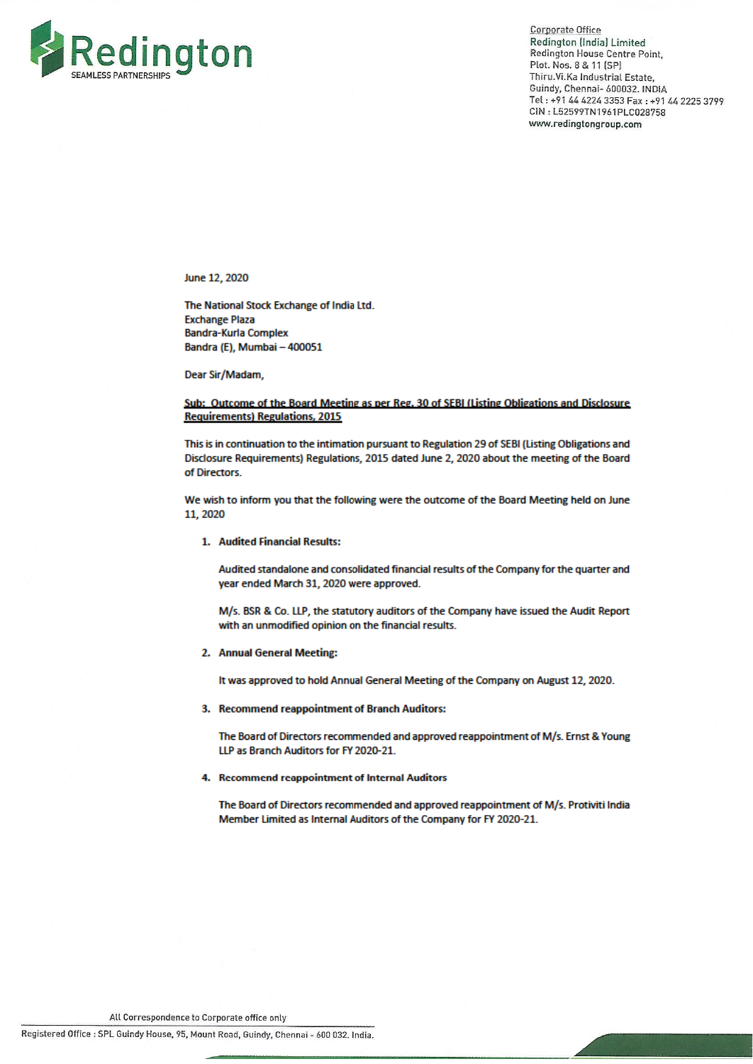

**Corporate Office** Redington (India) Limited Redington House Centre Point. Plot. Nos. 8 & 11 (SP) Thiru.Vi.Ka Industrial Estate, Guindy, Chennai- 600032. INDIA Tel: +91 44 4224 3353 Fax: +91 44 2225 3799 CIN: L52599TN1961PLC028758 www.redingtongroup.com

June 12, 2020

The National Stock Exchange of India Ltd. **Exchange Plaza Bandra-Kurla Complex** Bandra (E), Mumbai - 400051

Dear Sir/Madam,

### Sub: Outcome of the Board Meeting as per Reg. 30 of SEBI (Listing Obligations and Disclosure **Requirements) Regulations, 2015**

This is in continuation to the intimation pursuant to Regulation 29 of SEBI (Listing Obligations and Disclosure Requirements) Regulations, 2015 dated June 2, 2020 about the meeting of the Board of Directors.

We wish to inform you that the following were the outcome of the Board Meeting held on June 11, 2020

#### 1. Audited Financial Results:

Audited standalone and consolidated financial results of the Company for the quarter and year ended March 31, 2020 were approved.

M/s. BSR & Co. LLP, the statutory auditors of the Company have issued the Audit Report with an unmodified opinion on the financial results.

#### 2. Annual General Meeting:

It was approved to hold Annual General Meeting of the Company on August 12, 2020.

3. Recommend reappointment of Branch Auditors:

The Board of Directors recommended and approved reappointment of M/s. Ernst & Young LLP as Branch Auditors for FY 2020-21.

### 4. Recommend reappointment of Internal Auditors

The Board of Directors recommended and approved reappointment of M/s. Protiviti India Member Limited as Internal Auditors of the Company for FY 2020-21.

All Correspondence to Corporate office only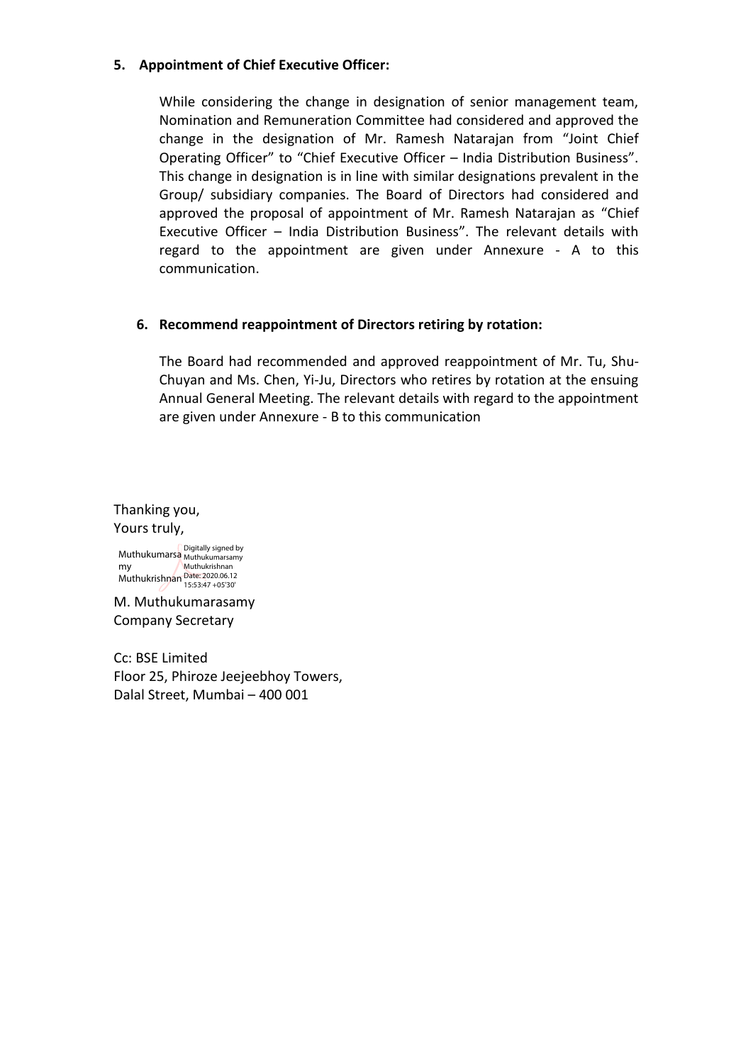## **5. Appointment of Chief Executive Officer:**

While considering the change in designation of senior management team, Nomination and Remuneration Committee had considered and approved the change in the designation of Mr. Ramesh Natarajan from "Joint Chief Operating Officer" to "Chief Executive Officer – India Distribution Business". This change in designation is in line with similar designations prevalent in the Group/ subsidiary companies. The Board of Directors had considered and approved the proposal of appointment of Mr. Ramesh Natarajan as "Chief Executive Officer – India Distribution Business". The relevant details with regard to the appointment are given under Annexure - A to this communication.

## **6. Recommend reappointment of Directors retiring by rotation:**

The Board had recommended and approved reappointment of Mr. Tu, Shu-Chuyan and Ms. Chen, Yi-Ju, Directors who retires by rotation at the ensuing Annual General Meeting. The relevant details with regard to the appointment are given under Annexure - B to this communication

Thanking you, Yours truly, Muthukumarsa Muthukumarsamy my Muthukrishnan Date: 2020.06.12 Digitally signed by Muthukrishnan 15:53:47 +05'30'

M. Muthukumarasamy Company Secretary

Cc: BSE Limited Floor 25, Phiroze Jeejeebhoy Towers, Dalal Street, Mumbai – 400 001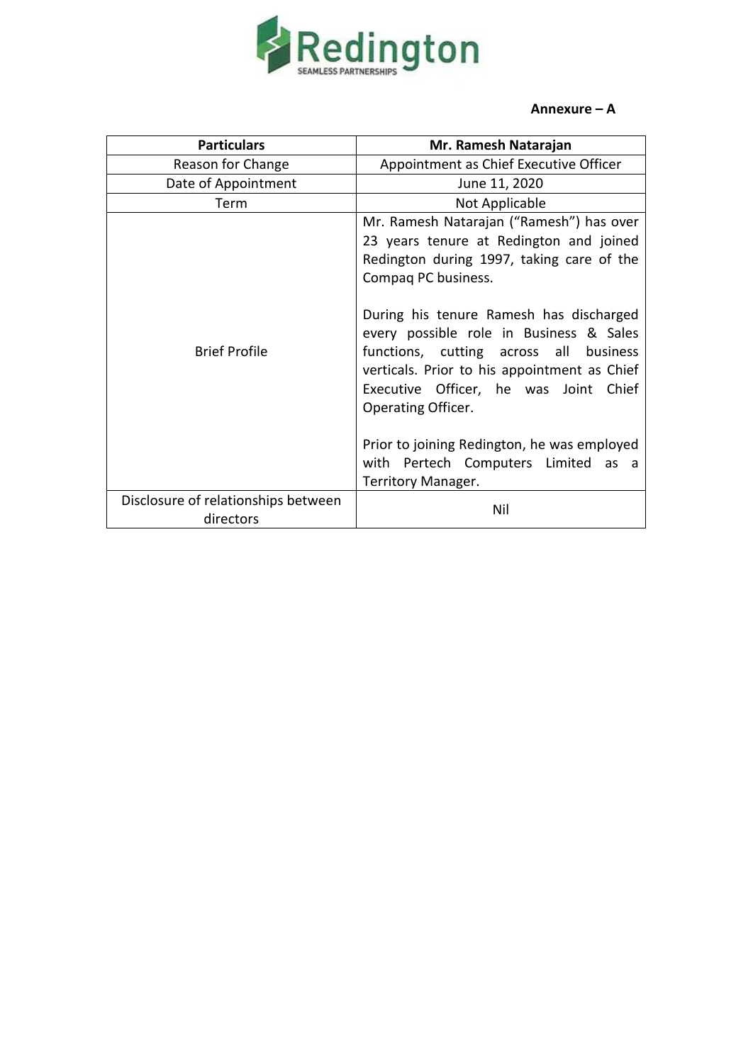

## **Annexure – A**

| <b>Particulars</b>                               | Mr. Ramesh Natarajan                                                                                                                                                                                                                                                                                                                                                                                                                                                                                               |  |
|--------------------------------------------------|--------------------------------------------------------------------------------------------------------------------------------------------------------------------------------------------------------------------------------------------------------------------------------------------------------------------------------------------------------------------------------------------------------------------------------------------------------------------------------------------------------------------|--|
| Reason for Change                                | Appointment as Chief Executive Officer                                                                                                                                                                                                                                                                                                                                                                                                                                                                             |  |
| Date of Appointment                              | June 11, 2020                                                                                                                                                                                                                                                                                                                                                                                                                                                                                                      |  |
| Term                                             | Not Applicable                                                                                                                                                                                                                                                                                                                                                                                                                                                                                                     |  |
| <b>Brief Profile</b>                             | Mr. Ramesh Natarajan ("Ramesh") has over<br>23 years tenure at Redington and joined<br>Redington during 1997, taking care of the<br>Compaq PC business.<br>During his tenure Ramesh has discharged<br>every possible role in Business & Sales<br>functions, cutting across all business<br>verticals. Prior to his appointment as Chief<br>Executive Officer, he was Joint Chief<br>Operating Officer.<br>Prior to joining Redington, he was employed<br>with Pertech Computers Limited as a<br>Territory Manager. |  |
| Disclosure of relationships between<br>directors | Nil                                                                                                                                                                                                                                                                                                                                                                                                                                                                                                                |  |